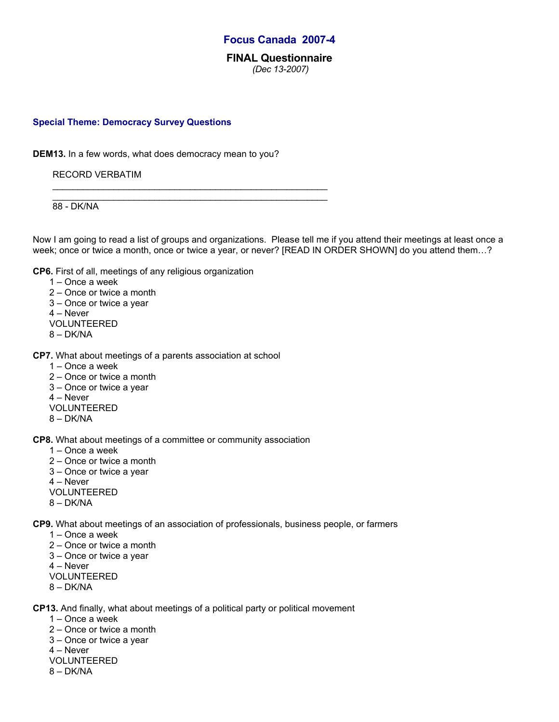# **Focus Canada 2007-4**

## **FINAL Questionnaire**   *(Dec 13-2007)*

#### **Special Theme: Democracy Survey Questions**

**DEM13.** In a few words, what does democracy mean to you?

 $\mathcal{L} = \{ \begin{array}{ll} 1 & 0 & 0 \\ 0 & 0 & 0 \\ 0 & 0 & 0 \\ 0 & 0 & 0 \\ 0 & 0 & 0 \\ 0 & 0 & 0 \\ 0 & 0 & 0 \\ 0 & 0 & 0 \\ 0 & 0 & 0 \\ 0 & 0 & 0 & 0 \\ 0 & 0 & 0 & 0 \\ 0 & 0 & 0 & 0 \\ 0 & 0 & 0 & 0 \\ 0 & 0 & 0 & 0 & 0 \\ 0 & 0 & 0 & 0 & 0 \\ 0 & 0 & 0 & 0 & 0 \\ 0 & 0 & 0 & 0 & 0 & 0 \\ 0 & 0 & 0 & 0 &$ 

RECORD VERBATIM

 $\mathcal{L} = \{ \begin{array}{ll} 1 & 0 & 0 \\ 0 & 0 & 0 \\ 0 & 0 & 0 \\ 0 & 0 & 0 \\ 0 & 0 & 0 \\ 0 & 0 & 0 \\ 0 & 0 & 0 \\ 0 & 0 & 0 \\ 0 & 0 & 0 \\ 0 & 0 & 0 & 0 \\ 0 & 0 & 0 & 0 \\ 0 & 0 & 0 & 0 \\ 0 & 0 & 0 & 0 \\ 0 & 0 & 0 & 0 & 0 \\ 0 & 0 & 0 & 0 & 0 \\ 0 & 0 & 0 & 0 & 0 \\ 0 & 0 & 0 & 0 & 0 & 0 \\ 0 & 0 & 0 & 0 &$ 88 - DK/NA

Now I am going to read a list of groups and organizations. Please tell me if you attend their meetings at least once a week; once or twice a month, once or twice a year, or never? [READ IN ORDER SHOWN] do you attend them...?

**CP6.** First of all, meetings of any religious organization

- 1 Once a week
- 2 Once or twice a month
- 3 Once or twice a year
- 4 Never
- VOLUNTEERED
- 8 DK/NA
- **CP7.** What about meetings of a parents association at school
	- 1 Once a week
	- 2 Once or twice a month
	- 3 Once or twice a year
	- 4 Never
	- VOLUNTEERED
	- 8 DK/NA

**CP8.** What about meetings of a committee or community association

- 1 Once a week
- 2 Once or twice a month
- 3 Once or twice a year
- 4 Never
- VOLUNTEERED
- 8 DK/NA

**CP9.** What about meetings of an association of professionals, business people, or farmers

- 1 Once a week
- 2 Once or twice a month
- 3 Once or twice a year
- 4 Never
- VOLUNTEERED
- 8 DK/NA

**CP13.** And finally, what about meetings of a political party or political movement

- 1 Once a week
- 2 Once or twice a month
- 3 Once or twice a year
- 4 Never
- VOLUNTEERED
- 8 DK/NA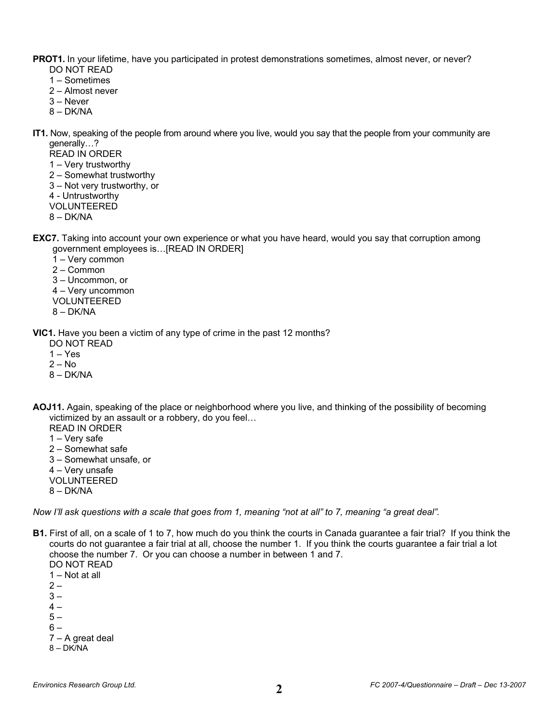**PROT1.** In your lifetime, have you participated in protest demonstrations sometimes, almost never, or never?

- DO NOT READ
- 1 Sometimes
- 2 Almost never
- 3 Never
- 8 DK/NA

**IT1.** Now, speaking of the people from around where you live, would you say that the people from your community are generally…?

READ IN ORDER

- 1 Very trustworthy
- 2 Somewhat trustworthy
- 3 Not very trustworthy, or
- 4 Untrustworthy
- VOLUNTEERED
- 8 DK/NA

**EXC7.** Taking into account your own experience or what you have heard, would you say that corruption among government employees is…[READ IN ORDER]

- 1 Very common
- 2 Common
- 3 Uncommon, or
- 4 Very uncommon
- VOLUNTEERED
- 8 DK/NA

**VIC1.** Have you been a victim of any type of crime in the past 12 months?

- DO NOT READ
- $1 Yes$
- $2 No$
- 8 DK/NA
- **AOJ11.** Again, speaking of the place or neighborhood where you live, and thinking of the possibility of becoming victimized by an assault or a robbery, do you feel…
	- READ IN ORDER
	- 1 Very safe
	- 2 Somewhat safe
	- 3 Somewhat unsafe, or
	- 4 Very unsafe
	- VOLUNTEERED
	- 8 DK/NA

*Now I'll ask questions with a scale that goes from 1, meaning "not at all" to 7, meaning "a great deal".* 

- **B1.** First of all, on a scale of 1 to 7, how much do you think the courts in Canada guarantee a fair trial? If you think the courts do not guarantee a fair trial at all, choose the number 1. If you think the courts guarantee a fair trial a lot choose the number 7. Or you can choose a number in between 1 and 7. DO NOT READ 1 – Not at all  $2 -$ 
	- $3 -$
	- $4 -$
	- $5 -$
	- $6 -$
	- 7 A great deal
	- 8 DK/NA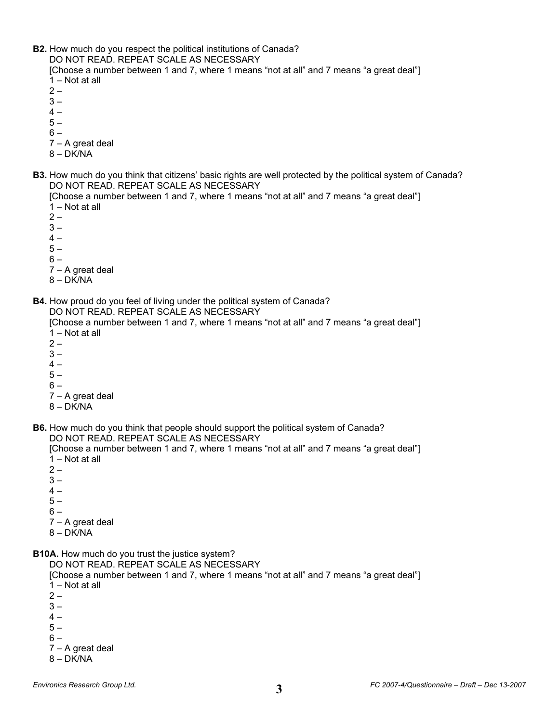**B2.** How much do you respect the political institutions of Canada? DO NOT READ. REPEAT SCALE AS NECESSARY [Choose a number between 1 and 7, where 1 means "not at all" and 7 means "a great deal"] 1 – Not at all  $2 3 4 5 6 -$  7 – A great deal 8 – DK/NA **B3.** How much do you think that citizens' basic rights are well protected by the political system of Canada? DO NOT READ. REPEAT SCALE AS NECESSARY [Choose a number between 1 and 7, where 1 means "not at all" and 7 means "a great deal"] 1 – Not at all  $2 3 4 5 6 -$  7 – A great deal 8 – DK/NA **B4.** How proud do you feel of living under the political system of Canada? DO NOT READ. REPEAT SCALE AS NECESSARY [Choose a number between 1 and 7, where 1 means "not at all" and 7 means "a great deal"] 1 – Not at all  $2 3 4 5 6 -$  7 – A great deal  $8 - DK/NA$ **B6.** How much do you think that people should support the political system of Canada? DO NOT READ. REPEAT SCALE AS NECESSARY [Choose a number between 1 and 7, where 1 means "not at all" and 7 means "a great deal"] 1 – Not at all  $2 3 4 5 6 -$  7 – A great deal  $8 - DK/NA$ **B10A.** How much do you trust the justice system? DO NOT READ. REPEAT SCALE AS NECESSARY [Choose a number between 1 and 7, where 1 means "not at all" and 7 means "a great deal"] 1 – Not at all  $2 3 4 5 6 -$  7 – A great deal  $8 - DK/NA$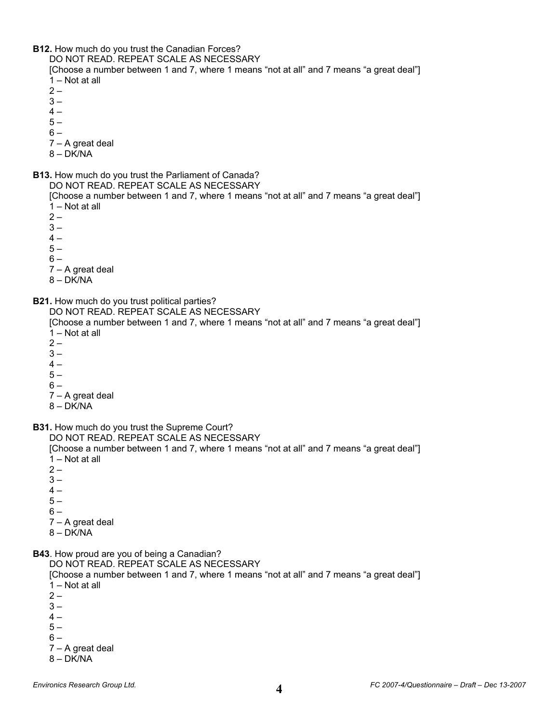- **B12.** How much do you trust the Canadian Forces?
	- DO NOT READ. REPEAT SCALE AS NECESSARY

 [Choose a number between 1 and 7, where 1 means "not at all" and 7 means "a great deal"] 1 – Not at all

- $2 -$
- $3 -$
- $4 -$
- $5 -$
- $6 -$
- 7 A great deal
- 8 DK/NA
- **B13.** How much do you trust the Parliament of Canada?
	- DO NOT READ. REPEAT SCALE AS NECESSARY

 [Choose a number between 1 and 7, where 1 means "not at all" and 7 means "a great deal"] 1 – Not at all

- $2 -$
- $3 -$
- $4 -$
- $5 -$
- $6 -$
- 7 A great deal
- 8 DK/NA
- **B21.** How much do you trust political parties?
	- DO NOT READ. REPEAT SCALE AS NECESSARY

 [Choose a number between 1 and 7, where 1 means "not at all" and 7 means "a great deal"] 1 – Not at all

- $2 -$
- $3 -$
- $4 -$
- $5 -$
- $6 -$
- 7 A great deal
- 8 DK/NA

**B31.** How much do you trust the Supreme Court?

DO NOT READ. REPEAT SCALE AS NECESSARY

 [Choose a number between 1 and 7, where 1 means "not at all" and 7 means "a great deal"] 1 – Not at all

- $2 -$
- $3 -$
- $4 -$
- $5 -$
- $6 -$
- 7 A great deal
- 8 DK/NA

**B43**. How proud are you of being a Canadian?

DO NOT READ. REPEAT SCALE AS NECESSARY

 [Choose a number between 1 and 7, where 1 means "not at all" and 7 means "a great deal"] 1 – Not at all

- $2 -$
- $3 -$
- $4 -$
- $5 -$
- $6 -$
- 7 A great deal
- 8 DK/NA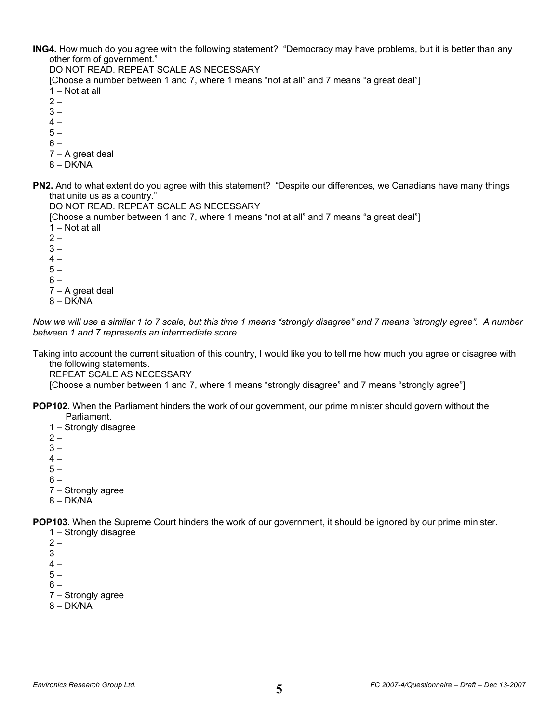**ING4.** How much do you agree with the following statement? "Democracy may have problems, but it is better than any other form of government."

DO NOT READ. REPEAT SCALE AS NECESSARY

[Choose a number between 1 and 7, where 1 means "not at all" and 7 means "a great deal"]

- 1 Not at all
- $2 -$
- $3 -$
- $4 -$
- $5 -$
- $6 -$
- 7 A great deal
- 8 DK/NA
- **PN2.** And to what extent do you agree with this statement? "Despite our differences, we Canadians have many things that unite us as a country."

DO NOT READ. REPEAT SCALE AS NECESSARY

[Choose a number between 1 and 7, where 1 means "not at all" and 7 means "a great deal"]

- 1 Not at all  $2 3 4 5 -$
- $6 -$
- 7 A great deal
- 8 DK/NA

*Now we will use a similar 1 to 7 scale, but this time 1 means "strongly disagree" and 7 means "strongly agree". A number between 1 and 7 represents an intermediate score.* 

Taking into account the current situation of this country, I would like you to tell me how much you agree or disagree with the following statements.

REPEAT SCALE AS NECESSARY

[Choose a number between 1 and 7, where 1 means "strongly disagree" and 7 means "strongly agree"]

- **POP102.** When the Parliament hinders the work of our government, our prime minister should govern without the Parliament.
	- 1 Strongly disagree
	- $2 -$
	- $3 \Delta$  –
	- $5 -$
	- $6 -$
	-
	- 7 Strongly agree
	- 8 DK/NA

**POP103.** When the Supreme Court hinders the work of our government, it should be ignored by our prime minister.

- 1 Strongly disagree
- $2 -$
- $3 -$
- $4 5 -$
- $6 -$

 7 – Strongly agree 8 – DK/NA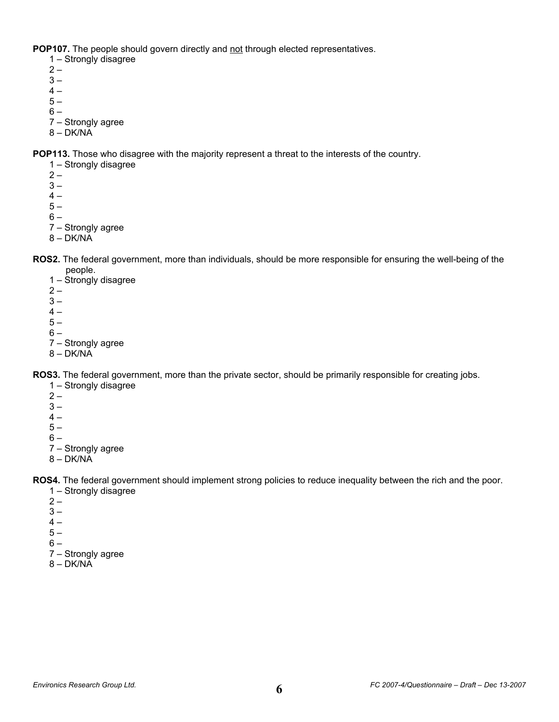**POP107.** The people should govern directly and not through elected representatives.

- 1 Strongly disagree
- $2 -$
- $3 -$
- $4 -$
- $5 -$
- $6 -$
- 7 Strongly agree
- 8 DK/NA

**POP113.** Those who disagree with the majority represent a threat to the interests of the country.

- 1 Strongly disagree
- $2 -$
- $3 -$
- $4 -$
- $5 -$
- $6 -$
- 7 Strongly agree
- 8 DK/NA
- **ROS2.** The federal government, more than individuals, should be more responsible for ensuring the well-being of the people.
	- 1 Strongly disagree
	- $2 -$
	- $3 -$
	- $4 -$
	- $5 -$
	- $6 -$
	- 7 Strongly agree
	- 8 DK/NA

**ROS3.** The federal government, more than the private sector, should be primarily responsible for creating jobs.

- 1 Strongly disagree
- $2 -$
- $3 -$
- $4 -$
- $5 -$
- $6 -$
- 7 Strongly agree
- 8 DK/NA

**ROS4.** The federal government should implement strong policies to reduce inequality between the rich and the poor.

- 1 Strongly disagree
- $2 -$
- $3 -$
- $4 -$
- $5 -$
- $6 -$
- 7 Strongly agree
- 8 DK/NA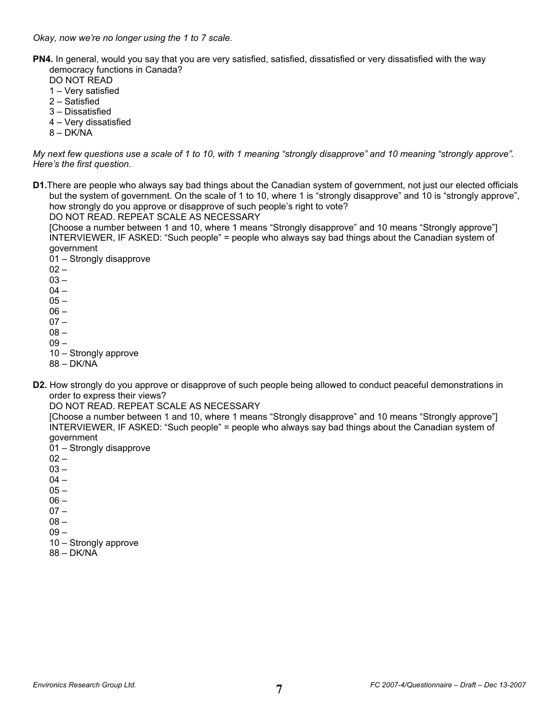*Okay, now we're no longer using the 1 to 7 scale.* 

- **PN4.** In general, would you say that you are very satisfied, satisfied, dissatisfied or very dissatisfied with the way democracy functions in Canada?
	- DO NOT READ
	- 1 Very satisfied
	- 2 Satisfied
	- 3 Dissatisfied
	- 4 Very dissatisfied
	- 8 DK/NA

*My next few questions use a scale of 1 to 10, with 1 meaning "strongly disapprove" and 10 meaning "strongly approve". Here's the first question.* 

**D1.**There are people who always say bad things about the Canadian system of government, not just our elected officials but the system of government. On the scale of 1 to 10, where 1 is "strongly disapprove" and 10 is "strongly approve", how strongly do you approve or disapprove of such people's right to vote?

DO NOT READ. REPEAT SCALE AS NECESSARY

 [Choose a number between 1 and 10, where 1 means "Strongly disapprove" and 10 means "Strongly approve"] INTERVIEWER, IF ASKED: "Such people" = people who always say bad things about the Canadian system of government

- 01 Strongly disapprove
- $02 -$
- $03 -$
- $04 -$
- $05 -$
- $06 -$
- $07 -$
- 08 –
- 09 –
- 10 Strongly approve
- 88 DK/NA
- **D2.** How strongly do you approve or disapprove of such people being allowed to conduct peaceful demonstrations in order to express their views?
	- DO NOT READ. REPEAT SCALE AS NECESSARY

 [Choose a number between 1 and 10, where 1 means "Strongly disapprove" and 10 means "Strongly approve"] INTERVIEWER, IF ASKED: "Such people" = people who always say bad things about the Canadian system of government

- 01 Strongly disapprove
- $02 -$
- $03 -$
- $04 -$
- $05 -$
- 06 –
- $07 -$
- 08 –
- 09 –
- 10 Strongly approve
- 88 DK/NA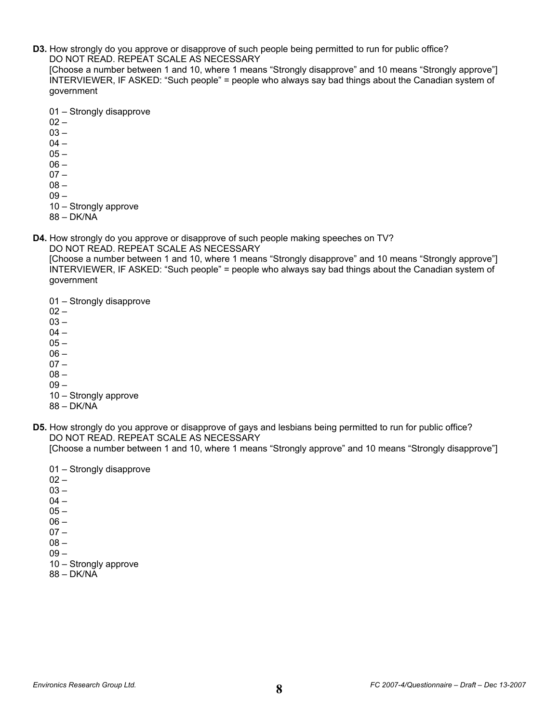**D3.** How strongly do you approve or disapprove of such people being permitted to run for public office? DO NOT READ. REPEAT SCALE AS NECESSARY

 [Choose a number between 1 and 10, where 1 means "Strongly disapprove" and 10 means "Strongly approve"] INTERVIEWER, IF ASKED: "Such people" = people who always say bad things about the Canadian system of government

- 01 Strongly disapprove
- $02 -$
- $03 -$
- $04 -$
- $05 -$
- 06 –
- $07 -$
- $08 -$
- 09 –
- 10 Strongly approve
- 88 DK/NA
- **D4.** How strongly do you approve or disapprove of such people making speeches on TV?

### DO NOT READ. REPEAT SCALE AS NECESSARY

 [Choose a number between 1 and 10, where 1 means "Strongly disapprove" and 10 means "Strongly approve"] INTERVIEWER, IF ASKED: "Such people" = people who always say bad things about the Canadian system of government

- 01 Strongly disapprove
- $02 -$
- $03 -$
- $04 -$
- $05 -$
- $06 -$
- $07 -$
- 08 09 –
- 
- 10 Strongly approve
- 88 DK/NA
- **D5.** How strongly do you approve or disapprove of gays and lesbians being permitted to run for public office? DO NOT READ. REPEAT SCALE AS NECESSARY
	- [Choose a number between 1 and 10, where 1 means "Strongly approve" and 10 means "Strongly disapprove"]
	- 01 Strongly disapprove
	- $02 -$
	- $03 -$
	- $04 -$
	- $05 -$
	- $06 -$
	- $07 -$
	- $08 -$
	- 09 –
	- 10 Strongly approve
	- 88 DK/NA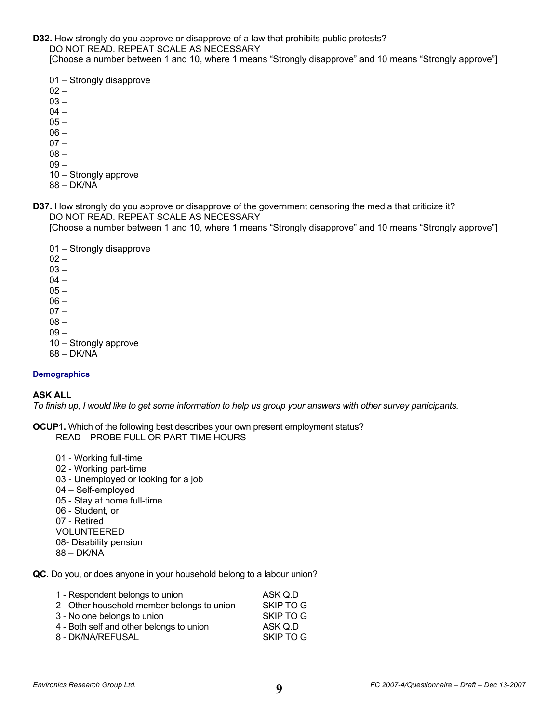**D32.** How strongly do you approve or disapprove of a law that prohibits public protests? DO NOT READ. REPEAT SCALE AS NECESSARY [Choose a number between 1 and 10, where 1 means "Strongly disapprove" and 10 means "Strongly approve"]

01 – Strongly disapprove

- $02 -$
- $03 -$
- $04 -$
- $05 -$
- $06 -$
- $07 -$
- 08 –
- 09 –
- 10 Strongly approve
- 88 DK/NA

**D37.** How strongly do you approve or disapprove of the government censoring the media that criticize it? DO NOT READ. REPEAT SCALE AS NECESSARY

[Choose a number between 1 and 10, where 1 means "Strongly disapprove" and 10 means "Strongly approve"]

- 01 Strongly disapprove
- $02 -$
- $03 -$
- $04 -$
- $05 -$
- $06 -$
- $07 -$
- 08 –
- 09 –
- 10 Strongly approve
- 88 DK/NA

#### **Demographics**

#### **ASK ALL**

*To finish up, I would like to get some information to help us group your answers with other survey participants.* 

**OCUP1.** Which of the following best describes your own present employment status? READ – PROBE FULL OR PART-TIME HOURS

- 01 Working full-time
- 02 Working part-time
- 03 Unemployed or looking for a job
- 04 Self-employed
- 05 Stay at home full-time
- 06 Student, or
- 07 Retired
- VOLUNTEERED
- 08- Disability pension
- 88 DK/NA

**QC.** Do you, or does anyone in your household belong to a labour union?

| 1 - Respondent belongs to union             | ASK Q.D   |
|---------------------------------------------|-----------|
| 2 - Other household member belongs to union | SKIP TO G |
| 3 - No one belongs to union                 | SKIP TO G |
| 4 - Both self and other belongs to union    | ASK Q.D   |
| 8 - DK/NA/REFUSAL                           | SKIP TO G |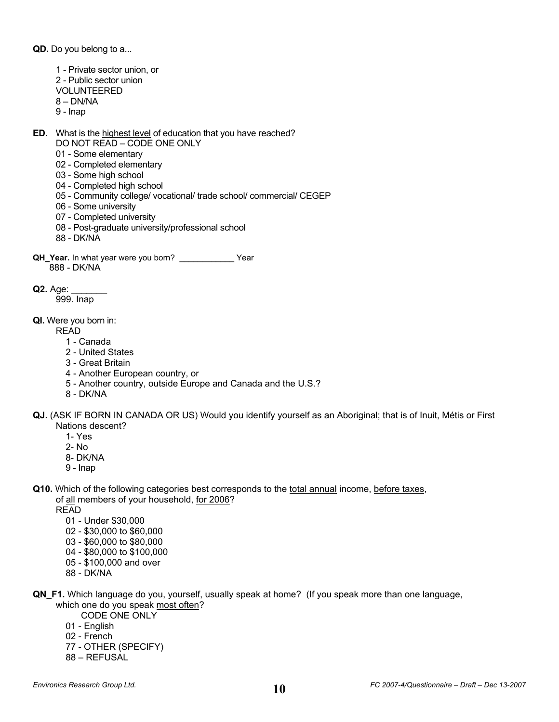**QD.** Do you belong to a...

- 1 Private sector union, or
- 2 Public sector union
- VOLUNTEERED
- 8 DN/NA
- 9 Inap
- **ED.** What is the highest level of education that you have reached? DO NOT READ – CODE ONE ONLY
	- 01 Some elementary
	- 02 Completed elementary
	- 03 Some high school
	- 04 Completed high school
	- 05 Community college/ vocational/ trade school/ commercial/ CEGEP
	- 06 Some university
	- 07 Completed university
	- 08 Post-graduate university/professional school
	- 88 DK/NA
- **QH\_Year.** In what year were you born? \_\_\_\_\_\_\_\_\_\_\_\_ Year 888 - DK/NA
- **Q2.** Age:

999. Inap

**QI.** Were you born in:

READ

- 1 Canada
- 2 United States
- 3 Great Britain
- 4 Another European country, or
- 5 Another country, outside Europe and Canada and the U.S.?
- 8 DK/NA
- **QJ.** (ASK IF BORN IN CANADA OR US) Would you identify yourself as an Aboriginal; that is of Inuit, Métis or First Nations descent?
	- 1- Yes
	- 2- No
	- 8- DK/NA
	- 9 Inap
- **Q10.** Which of the following categories best corresponds to the total annual income, before taxes, of all members of your household, for 2006?

READ

- 01 Under \$30,000
- 02 \$30,000 to \$60,000
- 03 \$60,000 to \$80,000
- 04 \$80,000 to \$100,000
- 05 \$100,000 and over
- 88 DK/NA
- **QN\_F1.** Which language do you, yourself, usually speak at home? (If you speak more than one language, which one do you speak most often?
	- CODE ONE ONLY
	- 01 English
	- 02 French
	- 77 OTHER (SPECIFY)
	- 88 REFUSAL